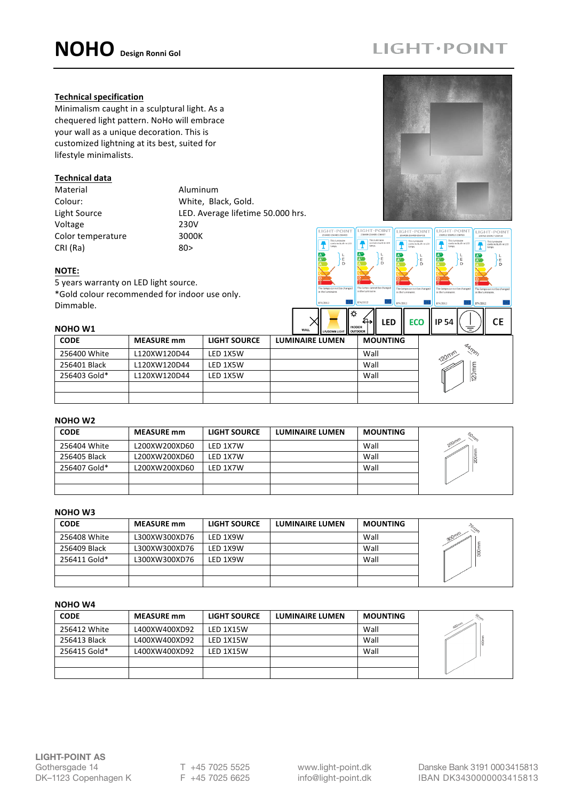# **LIGHT · POINT**

LIGHT·POIN

This luminaire<br>contains built<br>lamps.

This lum<br>Lamps.

This luminaire<br>contains built-

#### **Technical specification**

Minimalism caught in a sculptural light. As a chequered light pattern. NoHo will embrace your wall as a unique decoration. This is customized lightning at its best, suited for lifestyle minimalists.

#### **Technical data**

Material Material Aluminum Voltage 230V Color temperature 3000K  $CRI (Ra)$  80>

Colour: White, Black, Gold. Light Source **LED.** Average lifetime 50.000 hrs.

### **NOTE:**

5 years warranty on LED light source. \*Gold colour recommended for indoor use only. Dimmable.

| pouusikus k<br><b>NOHO W1</b> |                   |                     | <b>INDOOR</b><br>WALL<br>UP/DOWN LIGHT OUTDOOR | LED<br>ਜਮ       | <b>ECO</b> | IP 54<br>–      | СE |
|-------------------------------|-------------------|---------------------|------------------------------------------------|-----------------|------------|-----------------|----|
| <b>CODE</b>                   | <b>MEASURE</b> mm | <b>LIGHT SOURCE</b> | <b>LUMINAIRE LUMEN</b>                         | <b>MOUNTING</b> |            |                 |    |
| 256400 White                  | L120XW120D44      | LED 1X5W            |                                                | Wall            |            | AAMM<br>120mm   |    |
| 256401 Black                  | L120XW120D44      | LED 1X5W            |                                                | Wall            |            |                 |    |
| 256403 Gold*                  | L120XW120D44      | LED 1X5W            |                                                | Wall            |            | $120 \text{mm}$ |    |
|                               |                   |                     |                                                |                 |            |                 |    |
|                               |                   |                     |                                                |                 |            |                 |    |

 $IGHT \cdot POIN$ 

 $\Rightarrow$ 

 $\overline{\mathbf{f}}$ 

## **NOHO W2**

| <b>CODE</b>  | <b>MEASURE</b> mm | <b>LIGHT SOURCE</b> | <b>LUMINAIRE LUMEN</b> | <b>MOUNTING</b> | $\eta_{\rm h}$ |
|--------------|-------------------|---------------------|------------------------|-----------------|----------------|
| 256404 White | L200XW200XD60     | LED 1X7W            |                        | Wall            | 200mm          |
| 256405 Black | L200XW200XD60     | LED 1X7W            |                        | Wall            |                |
| 256407 Gold* | L200XW200XD60     | LED 1X7W            |                        | Wall            |                |
|              |                   |                     |                        |                 |                |
|              |                   |                     |                        |                 |                |

#### **NOHO W3**

| <b>CODE</b>  | <b>MEASURE</b> mm | <b>LIGHT SOURCE</b> | <b>LUMINAIRE LUMEN</b> | <b>MOUNTING</b> |      |
|--------------|-------------------|---------------------|------------------------|-----------------|------|
| 256408 White | L300XW300XD76     | LED 1X9W            |                        | Wall            | 300m |
| 256409 Black | L300XW300XD76     | LED 1X9W            |                        | Wall            |      |
| 256411 Gold* | L300XW300XD76     | LED 1X9W            |                        | Wall            |      |
|              |                   |                     |                        |                 |      |
|              |                   |                     |                        |                 |      |

### **NOHO W4**

| <b>CODE</b>  | <b>MEASURE</b> mm | <b>LIGHT SOURCE</b> | <b>LUMINAIRE LUMEN</b> | <b>MOUNTING</b> |      |
|--------------|-------------------|---------------------|------------------------|-----------------|------|
| 256412 White | L400XW400XD92     | LED 1X15W           |                        | Wall            | 100' |
| 256413 Black | L400XW400XD92     | LED 1X15W           |                        | Wall            |      |
| 256415 Gold* | L400XW400XD92     | LED 1X15W           |                        | Wall            |      |
|              |                   |                     |                        |                 |      |
|              |                   |                     |                        |                 |      |